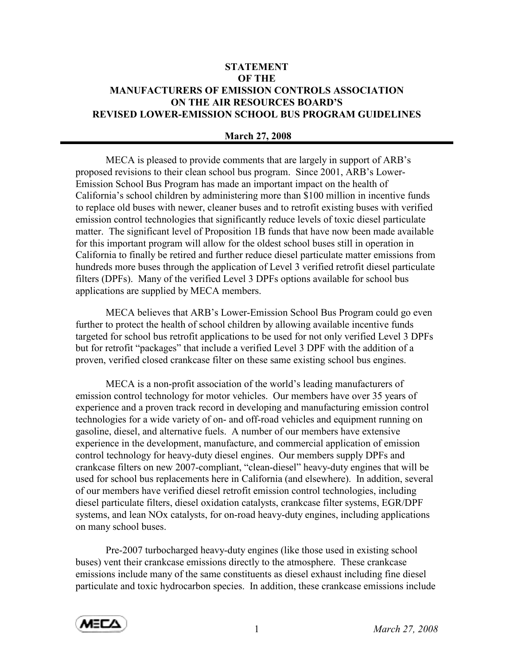## **STATEMENT** OF THE MANUFACTURERS OF EMISSION CONTROLS ASSOCIATION ON THE AIR RESOURCES BOARD'S REVISED LOWER-EMISSION SCHOOL BUS PROGRAM GUIDELINES

## March 27, 2008

 MECA is pleased to provide comments that are largely in support of ARB's proposed revisions to their clean school bus program. Since 2001, ARB's Lower-Emission School Bus Program has made an important impact on the health of California's school children by administering more than \$100 million in incentive funds to replace old buses with newer, cleaner buses and to retrofit existing buses with verified emission control technologies that significantly reduce levels of toxic diesel particulate matter. The significant level of Proposition 1B funds that have now been made available for this important program will allow for the oldest school buses still in operation in California to finally be retired and further reduce diesel particulate matter emissions from hundreds more buses through the application of Level 3 verified retrofit diesel particulate filters (DPFs). Many of the verified Level 3 DPFs options available for school bus applications are supplied by MECA members.

 MECA believes that ARB's Lower-Emission School Bus Program could go even further to protect the health of school children by allowing available incentive funds targeted for school bus retrofit applications to be used for not only verified Level 3 DPFs but for retrofit "packages" that include a verified Level 3 DPF with the addition of a proven, verified closed crankcase filter on these same existing school bus engines.

 MECA is a non-profit association of the world's leading manufacturers of emission control technology for motor vehicles. Our members have over 35 years of experience and a proven track record in developing and manufacturing emission control technologies for a wide variety of on- and off-road vehicles and equipment running on gasoline, diesel, and alternative fuels. A number of our members have extensive experience in the development, manufacture, and commercial application of emission control technology for heavy-duty diesel engines. Our members supply DPFs and crankcase filters on new 2007-compliant, "clean-diesel" heavy-duty engines that will be used for school bus replacements here in California (and elsewhere). In addition, several of our members have verified diesel retrofit emission control technologies, including diesel particulate filters, diesel oxidation catalysts, crankcase filter systems, EGR/DPF systems, and lean NOx catalysts, for on-road heavy-duty engines, including applications on many school buses.

 Pre-2007 turbocharged heavy-duty engines (like those used in existing school buses) vent their crankcase emissions directly to the atmosphere. These crankcase emissions include many of the same constituents as diesel exhaust including fine diesel particulate and toxic hydrocarbon species. In addition, these crankcase emissions include

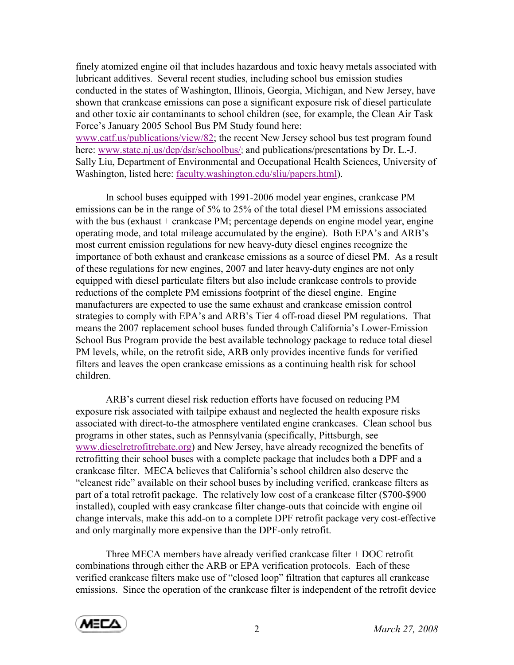finely atomized engine oil that includes hazardous and toxic heavy metals associated with lubricant additives. Several recent studies, including school bus emission studies conducted in the states of Washington, Illinois, Georgia, Michigan, and New Jersey, have shown that crankcase emissions can pose a significant exposure risk of diesel particulate and other toxic air contaminants to school children (see, for example, the Clean Air Task Force's January 2005 School Bus PM Study found here:

www.catf.us/publications/view/82; the recent New Jersey school bus test program found here: www.state.nj.us/dep/dsr/schoolbus/; and publications/presentations by Dr. L.-J. Sally Liu, Department of Environmental and Occupational Health Sciences, University of Washington, listed here: faculty.washington.edu/sliu/papers.html).

 In school buses equipped with 1991-2006 model year engines, crankcase PM emissions can be in the range of 5% to 25% of the total diesel PM emissions associated with the bus (exhaust + crankcase PM; percentage depends on engine model year, engine operating mode, and total mileage accumulated by the engine). Both EPA's and ARB's most current emission regulations for new heavy-duty diesel engines recognize the importance of both exhaust and crankcase emissions as a source of diesel PM. As a result of these regulations for new engines, 2007 and later heavy-duty engines are not only equipped with diesel particulate filters but also include crankcase controls to provide reductions of the complete PM emissions footprint of the diesel engine. Engine manufacturers are expected to use the same exhaust and crankcase emission control strategies to comply with EPA's and ARB's Tier 4 off-road diesel PM regulations. That means the 2007 replacement school buses funded through California's Lower-Emission School Bus Program provide the best available technology package to reduce total diesel PM levels, while, on the retrofit side, ARB only provides incentive funds for verified filters and leaves the open crankcase emissions as a continuing health risk for school children.

 ARB's current diesel risk reduction efforts have focused on reducing PM exposure risk associated with tailpipe exhaust and neglected the health exposure risks associated with direct-to-the atmosphere ventilated engine crankcases. Clean school bus programs in other states, such as Pennsylvania (specifically, Pittsburgh, see www.dieselretrofitrebate.org) and New Jersey, have already recognized the benefits of retrofitting their school buses with a complete package that includes both a DPF and a crankcase filter. MECA believes that California's school children also deserve the "cleanest ride" available on their school buses by including verified, crankcase filters as part of a total retrofit package. The relatively low cost of a crankcase filter (\$700-\$900 installed), coupled with easy crankcase filter change-outs that coincide with engine oil change intervals, make this add-on to a complete DPF retrofit package very cost-effective and only marginally more expensive than the DPF-only retrofit.

 Three MECA members have already verified crankcase filter + DOC retrofit combinations through either the ARB or EPA verification protocols. Each of these verified crankcase filters make use of "closed loop" filtration that captures all crankcase emissions. Since the operation of the crankcase filter is independent of the retrofit device